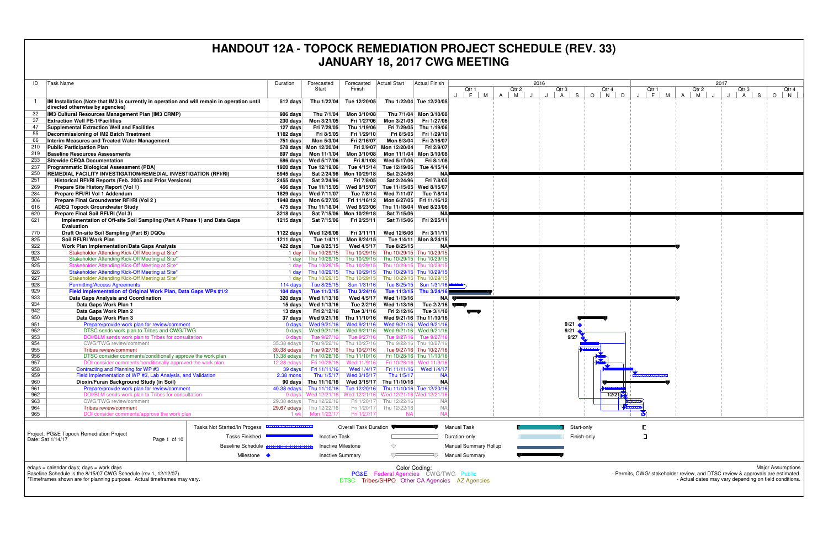| ID         | Task Name                                                                                                                | Duration                       | Forecasted<br>Start         | Forecasted<br>Finish         | Actual Start                                                    | Actual Finish                                         | Qtr 1                        | Qtr 2  | 2016<br>Qtr 3     | Q       |
|------------|--------------------------------------------------------------------------------------------------------------------------|--------------------------------|-----------------------------|------------------------------|-----------------------------------------------------------------|-------------------------------------------------------|------------------------------|--------|-------------------|---------|
|            | IM Installation (Note that IM3 is currently in operation and will remain in operation until                              | 512 days                       | Thu 1/22/04                 | Tue 12/20/05                 |                                                                 | Thu 1/22/04 Tue 12/20/05                              | F.<br>M                      | A<br>M | S<br>$\mathsf{A}$ | $\circ$ |
|            | directed otherwise by agencies)                                                                                          |                                |                             |                              |                                                                 |                                                       |                              |        |                   |         |
| 32         | IM3 Cultural Resources Management Plan (IM3 CRMP)                                                                        | 986 days                       | Thu 7/1/04                  | Mon 3/10/08                  |                                                                 | Thu 7/1/04 Mon 3/10/08                                |                              |        |                   |         |
| 37         | <b>Extraction Well PE-1/Facilities</b>                                                                                   | $230$ days                     | Mon 3/21/05                 | Fri 1/27/06                  | Mon 3/21/05                                                     | Fri 1/27/06                                           |                              |        |                   |         |
| 47         | Supplemental Extraction Well and Facilities                                                                              | 127 days                       | Fri 7/29/05                 | Thu 1/19/06                  | Fri 7/29/05                                                     | Thu 1/19/06                                           |                              |        |                   |         |
| 55         | Decommissioning of IM2 Batch Treatment                                                                                   | 1182 days                      | Fri 8/5/05                  | Fri 1/29/10                  | Fri 8/5/05                                                      | Fri 1/29/10                                           |                              |        |                   |         |
| 66         | Interim Measures and Treated Water Management                                                                            | 751 days                       | Mon 5/3/04                  | Fri 2/16/07                  | Mon 5/3/04                                                      | Fri 2/16/07                                           |                              |        |                   |         |
| 210        | <b>Public Participation Plan</b>                                                                                         |                                | 578 days Mon 12/20/04       |                              | Fri 2/9/07 Mon 12/20/04                                         | Fri 2/9/07                                            |                              |        |                   |         |
| 219<br>233 | <b>Baseline Resources Assessments</b><br><b>Sitewide CEQA Documentation</b>                                              | 897 days                       | Mon 11/1/04                 | Mon 3/10/08                  | Wed 5/17/06                                                     | Mon 11/1/04 Mon 3/10/08<br>Fri 8/1/08                 |                              |        |                   |         |
| 237        | Programmatic Biological Assessment (PBA)                                                                                 | 586 days<br>1920 days          | Wed 5/17/06<br>Tue 12/19/06 | Fri 8/1/08<br>Tue 4/15/14    | Tue 12/19/06                                                    | Tue 4/15/14                                           |                              |        |                   |         |
| 250        | REMEDIAL FACILITY INVESTIGATION/REMEDIAL INVESTIGATION (RFI/RI)                                                          | 5945 days                      |                             | Sat 2/24/96 Mon 10/29/18     | Sat 2/24/96                                                     | ΝA                                                    |                              |        |                   |         |
| 251        | Historical RFI/RI Reports (Feb. 2005 and Prior Versions)                                                                 | $2455$ days                    | Sat 2/24/96                 | Fri 7/8/05                   | Sat 2/24/96                                                     | Fri 7/8/05                                            |                              |        |                   |         |
| 269        | Prepare Site History Report (Vol 1)                                                                                      | 466 days                       | Tue 11/15/05                | Wed 8/15/07                  | Tue 11/15/05                                                    | Wed 8/15/07                                           |                              |        |                   |         |
| 284        | Prepare RFI/RI Vol 1 Addendum                                                                                            | $1829$ days                    | Wed 7/11/07                 | Tue 7/8/14                   | Wed 7/11/07                                                     | Tue 7/8/14                                            |                              |        |                   |         |
| 306        | Prepare Final Groundwater RFI/RI (Vol 2)                                                                                 | 1948 days                      | Mon 6/27/05                 | Fri 11/16/12                 |                                                                 | Mon 6/27/05 Fri 11/16/12                              |                              |        |                   |         |
| 616        | <b>ADEQ Topock Groundwater Study</b>                                                                                     | 475 days                       | Thu 11/18/04                | Wed 8/23/06                  | Thu 11/18/04                                                    | Wed 8/23/06                                           |                              |        |                   |         |
| 620        | Prepare Final Soil RFI/RI (Vol 3)                                                                                        | 3218 days                      | Sat 7/15/06                 | Mon 10/29/18                 | Sat 7/15/06                                                     | ΝA                                                    |                              |        |                   |         |
| 621        | Implementation of Off-site Soil Sampling (Part A Phase 1) and Data Gaps<br><b>Evaluation</b>                             | 1215 days                      | Sat 7/15/06                 | Fri 2/25/11                  | Sat 7/15/06                                                     | Fri 2/25/11                                           |                              |        |                   |         |
| 770        | Draft On-site Soil Sampling (Part B) DQOs                                                                                | 1122 days                      | Wed 12/6/06                 | Fri 3/11/11                  | Wed 12/6/06                                                     | Fri 3/11/11                                           |                              |        |                   |         |
| 825        | Soil RFI/RI Work Plan                                                                                                    | 1211 days                      | Tue 1/4/11                  | Mon 8/24/15                  |                                                                 | Tue 1/4/11 Mon 8/24/15                                |                              |        |                   |         |
| 922        | Work Plan Implementation/Data Gaps Analysis                                                                              | 422 days                       | Tue 8/25/15                 | Wed 4/5/17                   | Tue 8/25/15                                                     | ΝA                                                    |                              |        |                   |         |
| 923        | Stakeholder Attending Kick-Off Meeting at Site*                                                                          | 1 day                          | Thu 10/29/15                | Thu 10/29/15                 | Thu 10/29/15 Thu 10/29/15                                       |                                                       |                              |        |                   |         |
| 924        | Stakeholder Attending Kick-Off Meeting at Site*                                                                          | 1 day                          | Thu 10/29/15                | Thu 10/29/15                 | Thu 10/29/15 Thu 10/29/15                                       |                                                       |                              |        |                   |         |
| 925        | Stakeholder Attending Kick-Off Meeting at Site*                                                                          | 1 day                          | Thu 10/29/15                | Thu 10/29/15                 | Thu 10/29/15 Thu 10/29/1                                        |                                                       |                              |        |                   |         |
| 926        | Stakeholder Attending Kick-Off Meeting at Site*                                                                          | 1 day                          | Thu 10/29/15                | Thu 10/29/15                 | Thu 10/29/15 Thu 10/29/15                                       |                                                       |                              |        |                   |         |
| 927<br>928 | Stakeholder Attending Kick-Off Meeting at Site*                                                                          | 1 day                          | Thu 10/29/15                | Thu 10/29/15                 | Thu 10/29/15 Thu 10/29/15                                       | Tue 8/25/15 Sun 1/31/16                               |                              |        |                   |         |
| 929        | <b>Permitting/Access Agreements</b><br>Field Implementation of Original Work Plan, Data Gaps WPs #1/2                    | 114 days<br>104 days           | Tue 8/25/15<br>Tue 11/3/15  | Sun 1/31/16<br>Thu 3/24/16   |                                                                 | Tue 11/3/15 Thu 3/24/16                               |                              |        |                   |         |
| 933        | Data Gaps Analysis and Coordination                                                                                      | 320 days                       | Wed 1/13/16                 | Wed 4/5/17                   | Wed 1/13/16                                                     | <b>NA</b>                                             |                              |        |                   |         |
| 934        | Data Gaps Work Plan 1                                                                                                    | 15 days                        | Wed 1/13/16                 | Tue 2/2/16                   | Wed 1/13/16                                                     | Tue $2/2/16$                                          |                              |        |                   |         |
| 942        | Data Gaps Work Plan 2                                                                                                    | 13 days                        | Fri 2/12/16                 | Tue 3/1/16                   | Fri 2/12/16                                                     | Tue 3/1/16                                            |                              |        |                   |         |
| 950        | Data Gaps Work Plan 3                                                                                                    | 37 days                        | Wed 9/21/16                 | Thu 11/10/16                 |                                                                 | Wed 9/21/16 Thu 11/10/16                              |                              |        |                   |         |
| 951        | Prepare/provide work plan for review/comment                                                                             | 0 days                         | Wed 9/21/16                 | Wed 9/21/16                  |                                                                 | Wed 9/21/16 Wed 9/21/16                               |                              |        | 9/21              |         |
| 952        | DTSC sends work plan to Tribes and CWG/TWG                                                                               | $0$ days                       | Wed 9/21/16                 | Wed 9/21/16                  |                                                                 | Wed 9/21/16 Wed 9/21/16                               |                              |        | 9/21              |         |
| 953        | DOI/BLM sends work plan to Tribes for consultation                                                                       | 0 days                         | Tue 9/27/16                 | Tue 9/27/16                  | Tue 9/27/16                                                     | Tue 9/27/16                                           |                              |        | 9/27              |         |
| 954        | CWG/TWG review/comment                                                                                                   | 35.38 edays                    | Thu 9/22/16                 | Thu 10/27/16                 |                                                                 | Thu 9/22/16 Thu 10/27/16                              |                              |        |                   |         |
| 955<br>956 | Tribes review/comment                                                                                                    | 30.38 edays                    | Tue 9/27/16<br>Fri 10/28/16 | Thu 10/27/16<br>Thu 11/10/16 |                                                                 | Tue 9/27/16 Thu 10/27/16                              |                              |        |                   |         |
| 957        | DTSC consider comments/conditionally approve the work plan<br>DOI consider comments/conditionally approved the work plan | 13.38 edays<br>12.38 edays     | Fri 10/28/16                | Wed 11/9/16                  |                                                                 | Fri 10/28/16 Thu 11/10/16<br>Fri 10/28/16 Wed 11/9/16 |                              |        |                   |         |
| 958        | Contracting and Planning for WP #3                                                                                       | 39 days                        | Fri 11/11/16                | Wed 1/4/17                   |                                                                 | Fri 11/11/16 Wed 1/4/17                               |                              |        |                   |         |
| 959        | Field Implementation of WP #3, Lab Analysis, and Validation                                                              | $2.38$ mons                    | Thu 1/5/17                  | Wed 3/15/17                  | Thu 1/5/17                                                      | <b>NA</b>                                             |                              |        |                   |         |
| 960        | Dioxin/Furan Background Study (in Soil)                                                                                  |                                |                             |                              | 90 days Thu 11/10/16 Wed 3/15/17 Thu 11/10/16                   | <b>NA</b>                                             |                              |        |                   |         |
| 961        | Prepare/provide work plan for review/comment                                                                             |                                |                             |                              | 40.38 edays Thu 11/10/16 Tue 12/20/16 Thu 11/10/16 Tue 12/20/16 |                                                       |                              |        |                   |         |
| 962        | DOI/BLM sends work plan to Tribes for consultation                                                                       | $0$ davs                       | Wed 12/21/16                | Wed 12/21/16                 | Wed 12/21/16 Wed 12/21/16                                       |                                                       |                              |        |                   |         |
| 963        | CWG/TWG review/comment                                                                                                   | $29.38$ edays                  | Thu 12/22/16                | Fri 1/20/17                  | Thu 12/22/16                                                    | <b>NA</b>                                             |                              |        |                   |         |
| 964        | Tribes review/comment                                                                                                    | $29.67$ edays                  | Thu 12/22/16                |                              | Fri 1/20/17 Thu 12/22/16                                        | <b>NA</b>                                             |                              |        |                   |         |
| 965        | DOI consider comments/approve the work plan                                                                              | 1 wk                           | Mon 1/23/17                 | Fri 1/27/17                  | NA.                                                             | <b>NA</b>                                             |                              |        |                   |         |
|            | Tasks Not Started/In Progess                                                                                             | ,,,,,,,,,,,,,,,,,,,,,,,,,,,,,, |                             | Overall Task Duration        |                                                                 |                                                       | <b>Manual Task</b>           |        | Start-only        |         |
|            | Project: PG&E Topock Remediation Project<br><b>Tasks Finished</b><br>Date: Sat 1/14/17<br>Page 1 of 10                   |                                | <b>Inactive Task</b>        |                              |                                                                 |                                                       | Duration-only                |        | Finish-only       |         |
|            | <b>Baseline Schedule</b>                                                                                                 |                                |                             | <b>Inactive Milestone</b>    | ◇                                                               |                                                       | <b>Manual Summary Rollup</b> |        |                   |         |
|            |                                                                                                                          |                                |                             |                              |                                                                 |                                                       |                              |        |                   |         |
|            | Milestone •                                                                                                              |                                |                             | <b>Inactive Summary</b>      | ᅲ                                                               |                                                       | Manual Summary               |        |                   |         |
|            | edays = calendar days; days = work days<br>Baseline Schedule is the 8/15/07 CWG Schedule (rev 1, 12/12/07).              |                                |                             |                              | <b>PG&amp;F</b> Federal Agencies CWG/TWG Public                 | Color Coding:                                         |                              |        |                   |         |



Baseline Schedule is the 8/15/07 CWG Schedule (rev 1, 12/12/07). \*Timeframes shown are for planning purpose. Actual timeframes may vary.

PG&EFederal Agencies CWG/TWG Public DTSC Tribes/SHPO Other CA Agencies AZ Agencies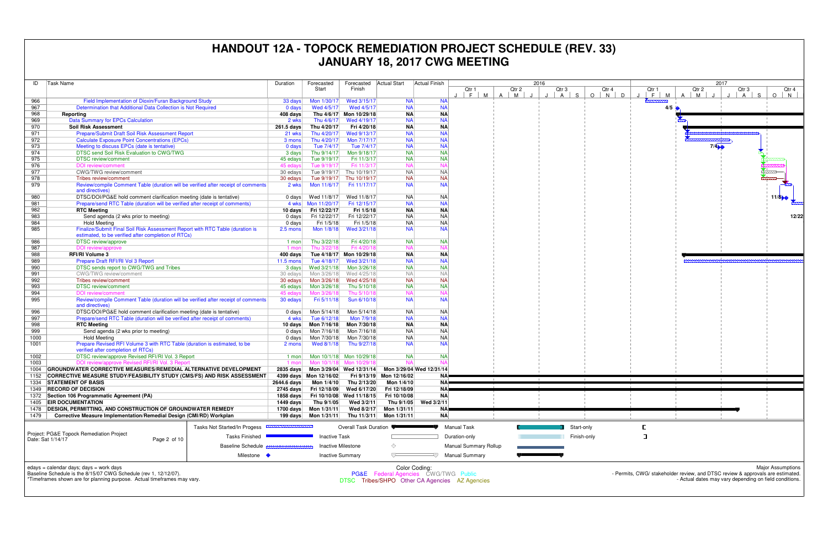| ID   | Task Name                                                                                            | Duration           | Forecasted             | Forecasted                | Actual Start                         | Actual Finish            |                                                |                                     | 2016                          |             |
|------|------------------------------------------------------------------------------------------------------|--------------------|------------------------|---------------------------|--------------------------------------|--------------------------|------------------------------------------------|-------------------------------------|-------------------------------|-------------|
|      |                                                                                                      |                    | Start                  | Finish                    |                                      |                          | Qtr 1                                          | Qtr 2                               | Qtr 3                         | Q           |
|      |                                                                                                      |                    |                        |                           |                                      |                          | F.<br>M                                        | $\overline{A}$<br>M<br>$\mathbf{J}$ | S.<br>$\mathsf{A}$<br>$\cdot$ | $\circ$     |
| 966  | Field Implementation of Dioxin/Furan Background Study                                                | 33 days            | Mon 1/30/17            | Wed 3/15/17               | <b>NA</b>                            | <b>NA</b>                |                                                |                                     |                               |             |
| 967  | Determination that Additional Data Collection is Not Required                                        | $0$ days           | Wed 4/5/17             | Wed 4/5/17                | <b>NA</b>                            | <b>NA</b>                |                                                |                                     |                               |             |
| 968  | Reporting                                                                                            | 408 days           |                        | Thu 4/6/17 Mon 10/29/18   | <b>NA</b>                            | <b>NA</b>                |                                                |                                     |                               |             |
| 969  | Data Summary for EPCs Calculation                                                                    | 2 wks              | Thu 4/6/17             | Wed 4/19/17               | <b>NA</b>                            | <b>NA</b>                |                                                |                                     |                               |             |
| 970  | <b>Soil Risk Assessment</b>                                                                          | 261.5 days         | Thu 4/20/17            | Fri 4/20/18               | <b>NA</b>                            | <b>NA</b>                |                                                |                                     |                               |             |
| 971  | Prepare/Submit Draft Soil Risk Assessment Report                                                     | 21 wks             | Thu 4/20/17            | Wed 9/13/17               | <b>NA</b>                            | <b>NA</b>                |                                                |                                     |                               |             |
| 972  | <b>Calculate Exposure Point Concentrations (EPCs)</b>                                                | 3 mons             | Thu 4/20/17            | Mon 7/17/17               | <b>NA</b>                            | <b>NA</b>                |                                                |                                     |                               |             |
| 973  | Meeting to discuss EPCs (date is tentative)                                                          | $0$ days           | Tue 7/4/17             | Tue 7/4/17                | <b>NA</b>                            | <b>NA</b>                |                                                |                                     |                               |             |
| 974  | DTSC send Soil Risk Evaluation to CWG/TWG                                                            | 3 days             | Thu 9/14/17            | Mon 9/18/17               | <b>NA</b>                            | <b>NA</b>                |                                                |                                     |                               |             |
| 975  | <b>DTSC</b> review/comment                                                                           | 45 edays           | Tue 9/19/17            | Fri 11/3/17               | <b>NA</b>                            | <b>NA</b>                |                                                |                                     |                               |             |
| 976  | DOI review/comment                                                                                   | 45 edays           | Tue 9/19/17            | Fri 11/3/17               | <b>NA</b>                            | <b>NA</b>                |                                                |                                     |                               |             |
| 977  | CWG/TWG review/comment                                                                               | 30 edays           | Tue 9/19/17            | Thu 10/19/17              | <b>NA</b>                            | <b>NA</b>                |                                                |                                     |                               |             |
| 978  | Tribes review/comment                                                                                | 30 edays           | Tue 9/19/17            | Thu 10/19/17              | <b>NA</b>                            | <b>NA</b>                |                                                |                                     |                               |             |
| 979  | Review/compile Comment Table (duration will be verified after receipt of comments                    | 2 wks              | Mon 11/6/17            | Fri 11/17/17              | <b>NA</b>                            | <b>NA</b>                |                                                |                                     |                               |             |
|      | and directives)                                                                                      |                    |                        |                           |                                      |                          |                                                |                                     |                               |             |
| 980  | DTSC/DOI/PG&E hold comment clarification meeting (date is tentative)                                 | $0$ days           | Wed 11/8/17            | Wed 11/8/17               | <b>NA</b>                            | <b>NA</b>                |                                                |                                     |                               |             |
| 981  | Prepare/send RTC Table (duration will be verified after receipt of comments)                         | 4 wks              | Mon 11/20/17           | Fri 12/15/17              | <b>NA</b>                            | <b>NA</b>                |                                                |                                     |                               |             |
| 982  | <b>RTC Meeting</b>                                                                                   | 10 days            | Fri 12/22/17           | Fri 1/5/18                | <b>NA</b>                            | <b>NA</b>                |                                                |                                     |                               |             |
| 983  | Send agenda (2 wks prior to meeting)                                                                 | $0 \text{ days}$   | Fri 12/22/17           | Fri 12/22/17              | <b>NA</b>                            | NA                       |                                                |                                     |                               |             |
| 984  | <b>Hold Meeting</b>                                                                                  | $0$ days           | Fri 1/5/18             | Fri 1/5/18                | <b>NA</b>                            | NA                       |                                                |                                     |                               |             |
| 985  | Finalize/Submit Final Soil Risk Assessment Report with RTC Table (duration is                        | 2.5 mons           | Mon 1/8/18             | Wed 3/21/18               | <b>NA</b>                            | <b>NA</b>                |                                                |                                     |                               |             |
|      | estimated, to be verified after completion of RTCs)                                                  |                    |                        |                           |                                      |                          |                                                |                                     |                               |             |
| 986  | DTSC review/approve                                                                                  | $1$ mon            | Thu 3/22/18            | Fri 4/20/18               | <b>NA</b>                            | <b>NA</b>                |                                                |                                     |                               |             |
| 987  | DOI review/approve                                                                                   | $1$ mon            | Thu 3/22/18            | Fri 4/20/18               | <b>NA</b>                            | <b>NA</b>                |                                                |                                     |                               |             |
| 988  | <b>RFI/RI Volume 3</b>                                                                               | 400 days           |                        | Tue 4/18/17 Mon 10/29/18  | <b>NA</b>                            | <b>NA</b>                |                                                |                                     |                               |             |
| 989  | Prepare Draft RFI/RI Vol 3 Report                                                                    | $11.5 \text{ mon}$ | Tue 4/18/17            | Wed 3/21/18               | <b>NA</b>                            | <b>NA</b>                |                                                |                                     |                               |             |
| 990  | DTSC sends report to CWG/TWG and Tribes                                                              | 3 days             | Wed 3/21/18            | Mon 3/26/18               | <b>NA</b>                            | <b>NA</b>                |                                                |                                     |                               |             |
| 991  | <b>CWG/TWG</b> review/comment                                                                        | 30 edays           | Mon 3/26/18            | Wed 4/25/18               | <b>NA</b>                            | <b>NA</b>                |                                                |                                     |                               |             |
| 992  | Tribes review/comment                                                                                | 30 edays           | Mon 3/26/18            | Wed 4/25/18               | <b>NA</b>                            | <b>NA</b>                |                                                |                                     |                               |             |
| 993  | DTSC review/comment                                                                                  | 45 edays           | Mon 3/26/18            | Thu 5/10/18               | <b>NA</b>                            | <b>NA</b>                |                                                |                                     |                               |             |
| 994  | DOI review/comment                                                                                   | 45 edays           | Mon 3/26/18            | Thu 5/10/18               | <b>NA</b>                            | <b>NA</b>                |                                                |                                     |                               |             |
| 995  | Review/compile Comment Table (duration will be verified after receipt of comments                    | 30 edays           | Fri 5/11/18            | Sun 6/10/18               | <b>NA</b>                            | <b>NA</b>                |                                                |                                     |                               |             |
|      | and directives)                                                                                      |                    |                        |                           |                                      |                          |                                                |                                     |                               |             |
| 996  | DTSC/DOI/PG&E hold comment clarification meeting (date is tentative)                                 | 0 days             | Mon 5/14/18            | Mon 5/14/18               | <b>NA</b>                            | NA                       |                                                |                                     |                               |             |
| 997  | Prepare/send RTC Table (duration will be verified after receipt of comments)                         | 4 wks              | Tue 6/12/18            | Mon 7/9/18                | <b>NA</b>                            | <b>NA</b>                |                                                |                                     |                               |             |
| 998  | <b>RTC Meeting</b>                                                                                   | 10 days            | Mon 7/16/18            | Mon 7/30/18               | <b>NA</b>                            | <b>NA</b>                |                                                |                                     |                               |             |
| 999  | Send agenda (2 wks prior to meeting)                                                                 |                    | Mon 7/16/18            | Mon 7/16/18               | <b>NA</b>                            | <b>NA</b>                |                                                |                                     |                               |             |
| 1000 |                                                                                                      | $0$ days           | Mon 7/30/18            | Mon 7/30/18               | <b>NA</b>                            | <b>NA</b>                |                                                |                                     |                               |             |
| 1001 | <b>Hold Meeting</b><br>Prepare Revised RFI Volume 3 with RTC Table (duration is estimated, to be     | $0 \text{ days}$   | Wed 8/1/18             | Thu 9/27/18               | <b>NA</b>                            | <b>NA</b>                |                                                |                                     |                               |             |
|      | verified after completion of RTCs)                                                                   | 2 mons             |                        |                           |                                      |                          |                                                |                                     |                               |             |
| 1002 | DTSC review/approve Revised RFI/RI Vol. 3 Report                                                     | $1$ mon            |                        | Mon 10/1/18 Mon 10/29/18  | <b>NA</b>                            | <b>NA</b>                |                                                |                                     |                               |             |
| 1003 | DOI review/approve Revised RFI/RI Vol. 3 Report                                                      | $1$ mon            |                        | Mon 10/1/18 Mon 10/29/18  | <b>NA</b>                            | <b>NA</b>                |                                                |                                     |                               |             |
| 1004 | GROUNDWATER CORRECTIVE MEASURES/REMEDIAL ALTERNATIVE DEVELOPMENT                                     | 2835 days          |                        |                           |                                      | Mon 3/29/04 Wed 12/31/14 |                                                |                                     |                               |             |
| 1152 |                                                                                                      |                    |                        | Mon 3/29/04 Wed 12/31/14  | Fri 9/13/19 Mon 12/16/02             | NAŀ                      |                                                |                                     |                               |             |
|      | CORRECTIVE MEASURE STUDY/FEASIBILITY STUDY (CMS/FS) AND RISK ASSESSMENT<br><b>STATEMENT OF BASIS</b> |                    | 4399 days Mon 12/16/02 |                           |                                      |                          |                                                |                                     |                               |             |
| 1334 |                                                                                                      |                    |                        |                           | Mon 1/4/10                           | NΑ                       |                                                |                                     |                               |             |
| 1349 | <b>RECORD OF DECISION</b>                                                                            | $2745$ days        |                        | Fri 12/18/09 Wed 6/17/20  | Fri 12/18/09                         | <b>NA</b>                |                                                |                                     |                               |             |
| 1372 | Section 106 Programmatic Agreement (PA)                                                              | 1858 days          |                        | Fri 10/10/08 Wed 11/18/15 | Fri 10/10/08                         | <b>NA</b>                |                                                |                                     |                               |             |
| 1405 | <b>EIR DOCUMENTATION</b>                                                                             | 1449 days          | Thu 9/1/05             | Wed 3/2/11                | Thu 9/1/05                           | Wed 3/2/11               |                                                |                                     |                               |             |
| 1478 | <b>DESIGN, PERMITTING, AND CONSTRUCTION OF GROUNDWATER REMEDY</b>                                    | 1700 days          | Mon 1/31/11            | Wed 8/2/17                | Mon 1/31/11                          | ΝAΙ                      |                                                |                                     |                               |             |
| 1479 | Corrective Measure Implementation/Remedial Design (CMI/RD) Workplan                                  | 199 days           | Mon 1/31/11            | Thu 11/3/11               | Mon 1/31/11                          | <b>NA</b>                |                                                |                                     |                               |             |
|      |                                                                                                      |                    |                        |                           |                                      |                          |                                                |                                     |                               |             |
|      | Tasks Not Started/In Progess                                                                         |                    |                        | Overall Task Duration     |                                      |                          | <b>Manual Task</b>                             |                                     | Start-only                    |             |
|      | Project: PG&E Topock Remediation Project<br><b>Tasks Finished</b>                                    |                    | <b>Inactive Task</b>   |                           |                                      |                          | Duration-only                                  |                                     |                               | Finish-only |
|      | Date: Sat 1/14/17<br>Page 2 of 10<br><b>Baseline Schedule</b>                                        |                    |                        | <b>Inactive Milestone</b> | ◇                                    |                          | <b>Manual Summary Rollup</b>                   |                                     |                               |             |
|      |                                                                                                      |                    |                        |                           |                                      |                          |                                                |                                     |                               |             |
|      | Milestone •                                                                                          |                    |                        | <b>Inactive Summary</b>   |                                      | スノ                       | Manual Summary                                 |                                     |                               |             |
|      |                                                                                                      |                    |                        |                           |                                      |                          |                                                |                                     |                               |             |
|      | edays = calendar days; days = work days                                                              |                    |                        |                           | Color Coding:                        |                          |                                                |                                     |                               |             |
|      | Baseline Schedule is the 8/15/07 CWG Schedule (rev 1, 12/12/07).                                     |                    |                        |                           | PG&E Federal Agencies CWG/TWG Public |                          |                                                |                                     |                               |             |
|      | *Timeframes shown are for planning purpose. Actual timeframes may vary.                              |                    |                        |                           |                                      |                          | DTSC Tribes/SHPO Other CA Agencies AZ Agencies |                                     |                               |             |
|      |                                                                                                      |                    |                        |                           |                                      |                          |                                                |                                     |                               |             |

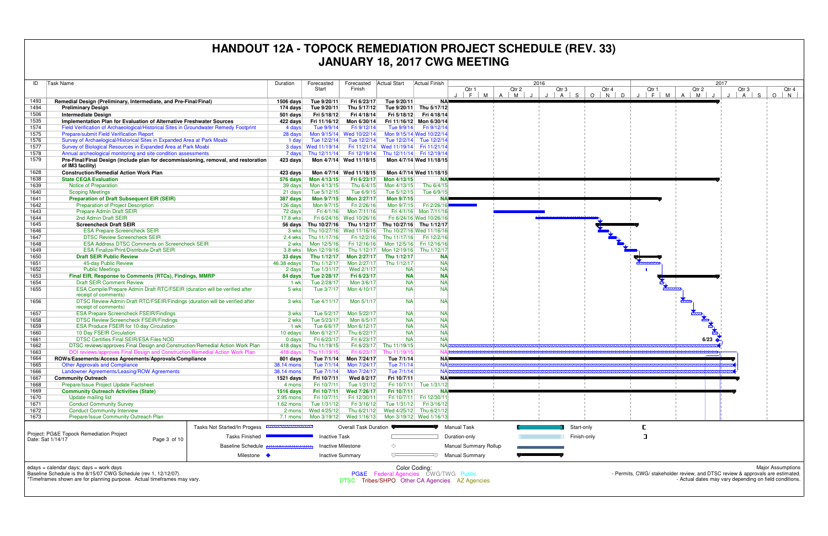| ID<br><b>Task Name</b> |                                                                                                     | Duration                     | Forecasted                   | Forecasted                 | <b>Actual Start</b>        | <b>Actual Finish</b>                            | 2016                       |                                                |        |            |             |
|------------------------|-----------------------------------------------------------------------------------------------------|------------------------------|------------------------------|----------------------------|----------------------------|-------------------------------------------------|----------------------------|------------------------------------------------|--------|------------|-------------|
|                        |                                                                                                     |                              |                              | Start                      | Finish                     |                                                 |                            | Qtr 1                                          | Qtr 2  | Qtr 3      | Q           |
|                        |                                                                                                     |                              |                              |                            |                            |                                                 |                            | F<br>M                                         | A<br>M | S<br>A     | $\circ$     |
| 1493<br>1494           | Remedial Design (Preliminary, Intermediate, and Pre-Final/Final)                                    |                              | 1506 days                    | Tue 9/20/11                | Fri 6/23/17                | Tue 9/20/11                                     | <b>NA</b>                  |                                                |        |            |             |
| 1506                   | <b>Preliminary Design</b><br><b>Intermediate Design</b>                                             |                              | 174 days<br>501 days         | Tue 9/20/11<br>Fri 5/18/12 | Thu 5/17/12<br>Fri 4/18/14 | Tue 9/20/11<br>Fri 5/18/12                      | Thu 5/17/12<br>Fri 4/18/14 |                                                |        |            |             |
| 1535                   | Implementation Plan for Evaluation of Alternative Freshwater Sources                                |                              | 422 days                     | Fri 11/16/12               | Mon 6/30/14                |                                                 | Fri 11/16/12 Mon 6/30/14   |                                                |        |            |             |
| 1574                   | Field Verification of Archaeological/Historical Sites in Groundwater Remedy Footprint               |                              | 4 days                       | Tue 9/9/14                 | Fri 9/12/14                | Tue 9/9/14                                      | Fri 9/12/14                |                                                |        |            |             |
| 1575                   | Prepare/submit Field Verification Report                                                            |                              | 28 days                      |                            | Mon 9/15/14 Wed 10/22/14   |                                                 | Mon 9/15/14 Wed 10/22/14   |                                                |        |            |             |
| 1576                   | Survey of Archaelogical/Historical Sites in Expanded Area at Park Moabi                             |                              | 1 day                        | Tue 12/2/14                | Tue 12/2/14                |                                                 | Tue 12/2/14 Tue 12/2/14    |                                                |        |            |             |
| 1577                   | Survey of Biological Resources in Expanded Area at Park Moabi                                       |                              |                              | 3 days Wed 11/19/14        |                            | Fri 11/21/14 Wed 11/19/14 Fri 11/21/14          |                            |                                                |        |            |             |
| 1578                   | Annual archeological monitoring and site condition assessments                                      |                              | 7 days                       | Thu 12/11/14               | Fri 12/19/14               |                                                 | Thu 12/11/14 Fri 12/19/14  |                                                |        |            |             |
| 1579                   | Pre-Final/Final Design (include plan for decommissioning, removal, and restoration                  |                              | 423 days                     |                            | Mon 4/7/14 Wed 11/18/15    |                                                 | Mon 4/7/14 Wed 11/18/15    |                                                |        |            |             |
|                        | of IM3 facility)                                                                                    |                              |                              |                            |                            |                                                 |                            |                                                |        |            |             |
| 1628                   | <b>Construction/Remedial Action Work Plan</b>                                                       |                              | 423 days                     |                            | Mon 4/7/14 Wed 11/18/15    |                                                 | Mon 4/7/14 Wed 11/18/15    |                                                |        |            |             |
| 1638                   | <b>State CEQA Evaluation</b>                                                                        |                              | 576 days                     | Mon 4/13/15                | Fri 6/23/17                | Mon 4/13/15                                     | <b>NA</b>                  |                                                |        |            |             |
| 1639                   | Notice of Preparation                                                                               |                              | 39 days                      | Mon 4/13/15                | Thu 6/4/15                 | Mon 4/13/15                                     | Thu 6/4/15                 |                                                |        |            |             |
| 1640                   | <b>Scoping Meetings</b>                                                                             |                              | 21 days                      | Tue 5/12/15                | Tue 6/9/15                 | Tue 5/12/15                                     | Tue 6/9/15                 |                                                |        |            |             |
| 1641                   | <b>Preparation of Draft Subsequent EIR (SEIR)</b>                                                   |                              | 387 days                     | Mon 9/7/15                 | Mon 2/27/17                | Mon 9/7/15                                      | <b>NA</b>                  |                                                |        |            |             |
| 1642                   | Preparation of Project Description                                                                  |                              | 126 days                     | Mon 9/7/15                 | Fri 2/26/16                | Mon 9/7/15                                      | Fri 2/26/16                |                                                |        |            |             |
| 1643                   | Prepare Admin Draft SEIR                                                                            |                              | 72 days                      | Fri 4/1/16                 | Mon 7/11/16                |                                                 | Fri 4/1/16 Mon 7/11/16     |                                                |        |            |             |
| 1644                   | 2nd Admin Draft SEIR                                                                                |                              | 17.8 wks                     |                            | Fri 6/24/16 Wed 10/26/16   |                                                 | Fri 6/24/16 Wed 10/26/16   |                                                |        |            |             |
| 1645                   | <b>Screencheck Draft SEIR</b>                                                                       |                              | 56 days                      | Thu 10/27/16               |                            | Thu 1/12/17 Thu 10/27/16 Thu 1/12/17            |                            |                                                |        |            |             |
| 1646                   | <b>ESA Prepare Screencheck SEIR</b>                                                                 |                              | 3 wks                        |                            | Thu 10/27/16 Wed 11/16/16  |                                                 | Thu 10/27/16 Wed 11/16/16  |                                                |        |            |             |
| 1647                   | <b>DTSC Review Screencheck SEIR</b>                                                                 |                              | $2.4$ wks                    | Thu 11/17/16               | Fri 12/2/16                | Thu 11/17/16                                    | Fri 12/2/16                |                                                |        |            |             |
| 1648                   | <b>ESA Address DTSC Comments on Screencheck SEIR</b>                                                |                              | 2 wks                        | Mon 12/5/16                | Fri 12/16/16               | Mon 12/5/16                                     | Fri 12/16/16               |                                                |        |            |             |
| 1649                   | <b>ESA Finalize/Print/Distribute Draft SEIR</b>                                                     |                              | 3.8 wks                      | Mon 12/19/16               |                            | Thu 1/12/17 Mon 12/19/16                        | Thu 1/12/17                |                                                |        |            |             |
| 1650                   | <b>Draft SEIR Public Review</b>                                                                     |                              | 33 days                      | Thu 1/12/17                | Mon 2/27/17                | Thu 1/12/17                                     | <b>NA</b>                  |                                                |        |            |             |
| 1651                   | 45-day Public Review                                                                                |                              | 46.38 edays                  | Thu 1/12/17                | Mon 2/27/17                | Thu 1/12/17                                     | <b>NA</b>                  |                                                |        |            |             |
| 1652                   | <b>Public Meetings</b>                                                                              |                              | 2 days                       | Tue 1/31/17                | Wed 2/1/17                 | <b>NA</b>                                       | <b>NA</b>                  |                                                |        |            |             |
| 1653                   | Final EIR, Response to Comments (RTCs), Findings, MMRP                                              |                              | 84 days                      | Tue 2/28/17                | Fri 6/23/17                | <b>NA</b>                                       | <b>NA</b>                  |                                                |        |            |             |
| 1654                   | <b>Draft SEIR Comment Review</b>                                                                    |                              | $1$ wk                       | Tue 2/28/17                | Mon 3/6/17                 | <b>NA</b>                                       | <b>NA</b>                  |                                                |        |            |             |
| 1655                   | ESA Compile/Prepare Admin Draft RTC/FSEIR (duration will be verified after<br>receipt of comments)  |                              | 5 wks                        | Tue 3/7/17                 | Mon 4/10/17                | <b>NA</b>                                       | <b>NA</b>                  |                                                |        |            |             |
| 1656                   | DTSC Review Admin Draft RTC/FSEIR/Findings (duration will be verified after<br>receipt of comments) |                              | 3 wks                        | Tue 4/11/17                | Mon 5/1/17                 | <b>NA</b>                                       | <b>NA</b>                  |                                                |        |            |             |
| 1657                   | <b>ESA Prepare Screencheck FSEIR/Findings</b>                                                       |                              | 3 wks                        | Tue 5/2/17                 | Mon 5/22/17                | <b>NA</b>                                       | <b>NA</b>                  |                                                |        |            |             |
| 1658                   | <b>DTSC Review Screencheck FSEIR/Findings</b>                                                       |                              | 2 wks                        | Tue 5/23/17                | Mon 6/5/17                 | <b>NA</b>                                       | <b>NA</b>                  |                                                |        |            |             |
| 1659                   | <b>ESA Produce FSEIR for 10-day Circulation</b>                                                     |                              | 1 wk                         | Tue 6/6/17                 | Mon 6/12/17                | <b>NA</b>                                       | <b>NA</b>                  |                                                |        |            |             |
| 1660                   | 10 Day FSEIR Circulation                                                                            |                              | 10 edays                     | Mon 6/12/17                | Thu 6/22/17                | <b>NA</b>                                       | <b>NA</b>                  |                                                |        |            |             |
| 1661                   | DTSC Certifies Final SEIR/ESA Files NOD                                                             |                              | $0$ days                     | Fri 6/23/17                | Fri 6/23/17                | <b>NA</b>                                       | <b>NA</b>                  |                                                |        |            |             |
| 1662                   | DTSC reviews/approves Final Design and Construction/Remedial Action Work Plan                       |                              | 418 days                     | Thu 11/19/15               | Fri 6/23/17                | Thu 11/19/15                                    | <b>NA</b>                  |                                                |        |            |             |
| 1663                   | DOI reviews/approves Final Design and Construction/Remedial Action Work Plan                        |                              | 418 days                     | Thu 11/19/15               | Fri 6/23/17                | Thu 11/19/15                                    |                            |                                                |        |            |             |
| 1664                   | ROWs/Easements/Access Agreements/Approvals/Compliance                                               |                              | 801 days                     | Tue 7/1/14                 | Mon 7/24/17                | Tue 7/1/14                                      | NA=                        |                                                |        |            |             |
| 1665                   | <b>Other Approvals and Compliance</b>                                                               |                              | 38.14 mons                   | Tue 7/1/14                 | Mon 7/24/17                | Tue 7/1/14                                      | <b>NA</b>                  |                                                |        |            |             |
| 1666                   | Landowner Agreements/Leasing/ROW Agreements                                                         |                              | 38.14 mons                   | Tue 7/1/14                 | Mon 7/24/17                | Tue 7/1/14                                      | <b>NAS</b>                 |                                                |        |            |             |
| 1667                   | <b>Community Outreach</b>                                                                           |                              | 1521 days                    | Fri 10/7/11                | Wed 8/2/17                 | Fri 10/7/11                                     | NA=                        |                                                |        |            |             |
| 1668                   | Prepare/Issue Project Update Factsheet                                                              |                              | 4 mons                       | Fri 10/7/11                | Tue 1/31/12                | Fri 10/7/11                                     | Tue 1/31/12                |                                                |        |            |             |
| 1669                   | <b>Community Outreach Activities (State)</b>                                                        |                              | $1516$ days                  | Fri 10/7/11                | Wed 7/26/17                | Fri 10/7/11                                     | <b>NA</b>                  |                                                |        |            |             |
| 1670                   | Update mailing list                                                                                 |                              | $2.95$ mons                  | Fri 10/7/11                | Fri 12/30/11               | Fri 10/7/11                                     | Fri 12/30/11               |                                                |        |            |             |
| 1671                   | <b>Conduct Community Survey</b>                                                                     |                              | $1.62$ mons                  | Tue 1/31/12                | Fri 3/16/12                | Tue 1/31/12                                     | Fri 3/16/12                |                                                |        |            |             |
| 1672                   | <b>Conduct Community Interview</b>                                                                  |                              | 2 mons                       | Wed 4/25/12                | Thu 6/21/12                | Wed 4/25/12                                     | Thu 6/21/12                |                                                |        |            |             |
| 1673                   | Prepare/Issue Community Outreach Plan                                                               |                              | 7.1 mons                     | Mon 3/19/12                | Wed 1/16/13                |                                                 | Mon 3/19/12 Wed 1/16/13    |                                                |        |            |             |
|                        |                                                                                                     | Tasks Not Started/In Progess | ,,,,,,,,,,,,,,,,,,,,,,,,,,,, |                            | Overall Task Duration      |                                                 |                            | <b>Manual Task</b>                             |        | Start-only |             |
|                        | Project: PG&E Topock Remediation Project                                                            | <b>Tasks Finished</b>        |                              | <b>Inactive Task</b>       |                            |                                                 |                            | Duration-only                                  |        |            | Finish-only |
|                        | Date: Sat 1/14/17<br>Page 3 of 10                                                                   |                              |                              |                            |                            |                                                 |                            |                                                |        |            |             |
|                        |                                                                                                     | <b>Baseline Schedule</b>     |                              |                            | <b>Inactive Milestone</b>  | ♦                                               |                            | <b>Manual Summary Rollup</b>                   |        |            |             |
|                        |                                                                                                     | Milestone •                  |                              |                            | <b>Inactive Summary</b>    | ▽                                               | FV.                        | <b>Manual Summary</b>                          |        |            |             |
|                        | edays = calendar days; days = work days                                                             |                              |                              |                            |                            |                                                 | Color Coding:              |                                                |        |            |             |
|                        | Baseline Schedule is the 8/15/07 CWG Schedule (rev 1, 12/12/07).                                    |                              |                              |                            |                            | <b>PG&amp;E</b> Federal Agencies CWG/TWG Public |                            |                                                |        |            |             |
|                        | *Timeframes shown are for planning purpose. Actual timeframes may vary.                             |                              |                              |                            |                            |                                                 |                            | DTSC Tribes/SHPO Other CA Agencies AZ Agencies |        |            |             |
|                        |                                                                                                     |                              |                              |                            |                            |                                                 |                            |                                                |        |            |             |